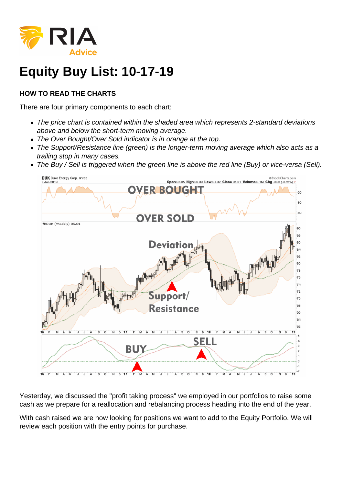

## **Equity Buy List: 10-17-19**

## **HOW TO READ THE CHARTS**

There are four primary components to each chart:

- The price chart is contained within the shaded area which represents 2-standard deviations above and below the short-term moving average.
- The Over Bought/Over Sold indicator is in orange at the top.
- The Support/Resistance line (green) is the longer-term moving average which also acts as a trailing stop in many cases.
- The Buy / Sell is triggered when the green line is above the red line (Buy) or vice-versa (Sell).



Yesterday, we discussed the "profit taking process" we employed in our portfolios to raise some cash as we prepare for a reallocation and rebalancing process heading into the end of the year.

With cash raised we are now looking for positions we want to add to the Equity Portfolio. We will review each position with the entry points for purchase.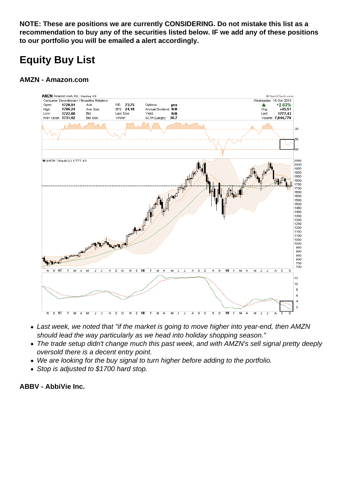NOTE: These are positions we are currently CONSIDERING. Do not mistake this list as a recommendation to buy any of the securities listed below. IF we add any of these positions to our portfolio you will be emailed a alert accordingly.

## Equity Buy List

AMZN - Amazon.com

- Last week, we noted that "if the market is going to move higher into year-end, then AMZN should lead the way particularly as we head into holiday shopping season."
- The trade setup didn't change much this past week, and with AMZN's sell signal pretty deeply oversold there is a decent entry point.
- We are looking for the buy signal to turn higher before adding to the portfolio.
- Stop is adjusted to \$1700 hard stop.

ABBV - AbbiVie Inc.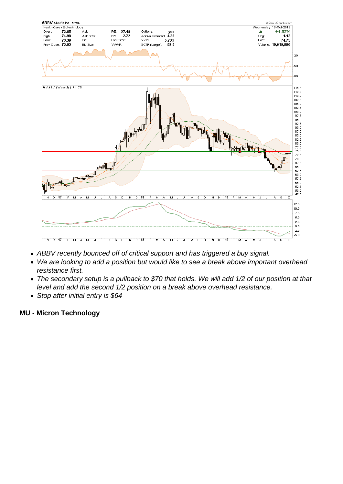- ABBV recently bounced off of critical support and has triggered a buy signal.
- We are looking to add a position but would like to see a break above important overhead resistance first.
- The secondary setup is a pullback to \$70 that holds. We will add 1/2 of our position at that level and add the second 1/2 position on a break above overhead resistance.
- Stop after initial entry is \$64

MU - Micron Technology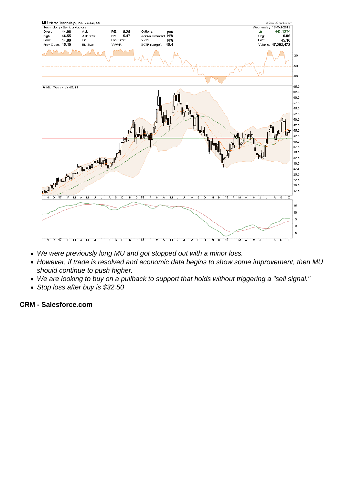- We were previously long MU and got stopped out with a minor loss.
- However, if trade is resolved and economic data begins to show some improvement, then MU should continue to push higher.
- We are looking to buy on a pullback to support that holds without triggering a "sell signal."
- Stop loss after buy is \$32.50

CRM - Salesforce.com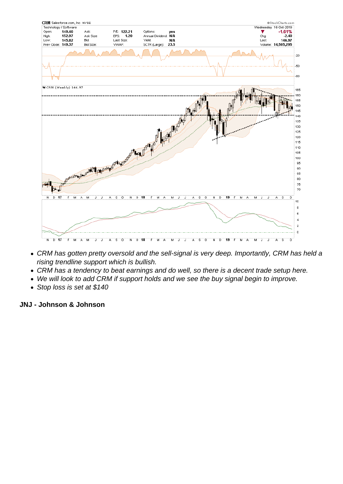

- CRM has gotten pretty oversold and the sell-signal is very deep. Importantly, CRM has held a rising trendline support which is bullish.
- CRM has a tendency to beat earnings and do well, so there is a decent trade setup here.
- We will look to add CRM if support holds and we see the buy signal begin to improve.  $\bullet$
- Stop loss is set at \$140

## **JNJ - Johnson & Johnson**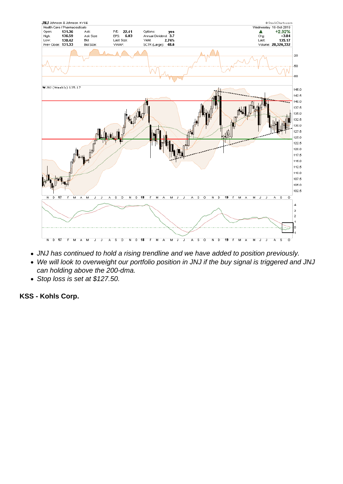- JNJ has continued to hold a rising trendline and we have added to position previously.
- We will look to overweight our portfolio position in JNJ if the buy signal is triggered and JNJ can holding above the 200-dma.
- Stop loss is set at \$127.50.

KSS - Kohls Corp.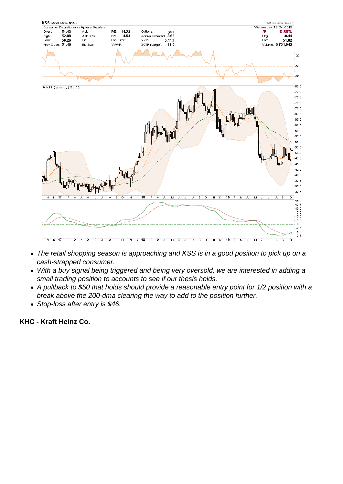- The retail shopping season is approaching and KSS is in a good position to pick up on a cash-strapped consumer.
- With a buy signal being triggered and being very oversold, we are interested in adding a small trading position to accounts to see if our thesis holds.
- A pullback to \$50 that holds should provide a reasonable entry point for 1/2 position with a break above the 200-dma clearing the way to add to the position further.
- Stop-loss after entry is \$46.

KHC - Kraft Heinz Co.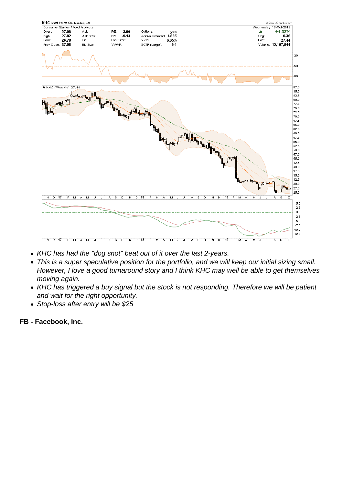- KHC has had the "dog snot" beat out of it over the last 2-years.
- This is a super speculative position for the portfolio, and we will keep our initial sizing small. However, I love a good turnaround story and I think KHC may well be able to get themselves moving again.
- KHC has triggered a buy signal but the stock is not responding. Therefore we will be patient and wait for the right opportunity.
- Stop-loss after entry will be \$25

FB - Facebook, Inc.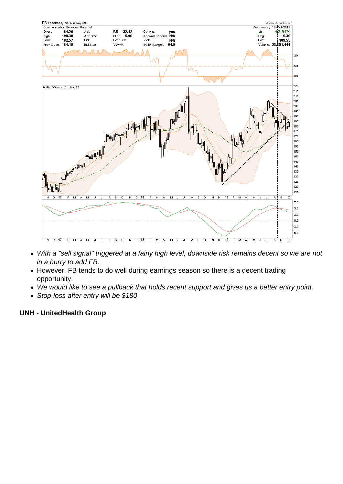- With a "sell signal" triggered at a fairly high level, downside risk remains decent so we are not in a hurry to add FB.
- However, FB tends to do well during earnings season so there is a decent trading opportunity.
- We would like to see a pullback that holds recent support and gives us a better entry point.
- Stop-loss after entry will be \$180

UNH - UnitedHealth Group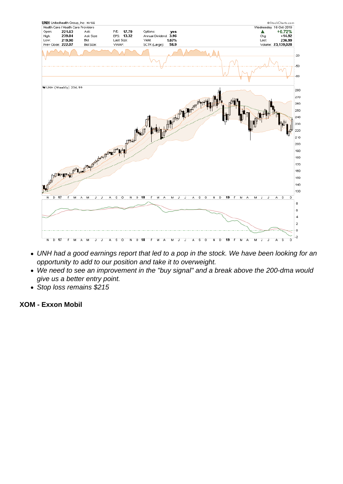- UNH had a good earnings report that led to a pop in the stock. We have been looking for an opportunity to add to our position and take it to overweight.
- We need to see an improvement in the "buy signal" and a break above the 200-dma would give us a better entry point.
- Stop loss remains \$215

XOM - Exxon Mobil